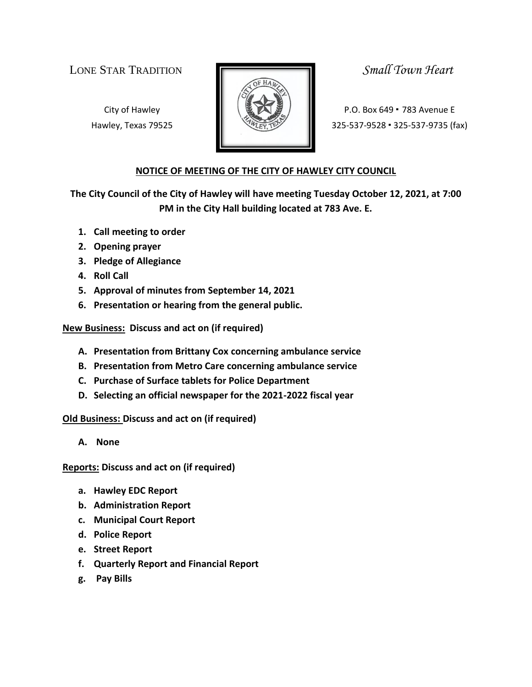LONE STAR TRADITION *Small Town Heart*



City of Hawley **Property P.O. Box 649 • 783 Avenue E** Hawley, Texas 79525 **125-537-9528 · 325-537-9528 · 325-537-9735** (fax)

## **NOTICE OF MEETING OF THE CITY OF HAWLEY CITY COUNCIL**

**The City Council of the City of Hawley will have meeting Tuesday October 12, 2021, at 7:00 PM in the City Hall building located at 783 Ave. E.**

- **1. Call meeting to order**
- **2. Opening prayer**
- **3. Pledge of Allegiance**
- **4. Roll Call**
- **5. Approval of minutes from September 14, 2021**
- **6. Presentation or hearing from the general public.**

**New Business: Discuss and act on (if required)**

- **A. Presentation from Brittany Cox concerning ambulance service**
- **B. Presentation from Metro Care concerning ambulance service**
- **C. Purchase of Surface tablets for Police Department**
- **D. Selecting an official newspaper for the 2021-2022 fiscal year**

**Old Business: Discuss and act on (if required)**

**A. None**

**Reports: Discuss and act on (if required)**

- **a. Hawley EDC Report**
- **b. Administration Report**
- **c. Municipal Court Report**
- **d. Police Report**
- **e. Street Report**
- **f. Quarterly Report and Financial Report**
- **g. Pay Bills**